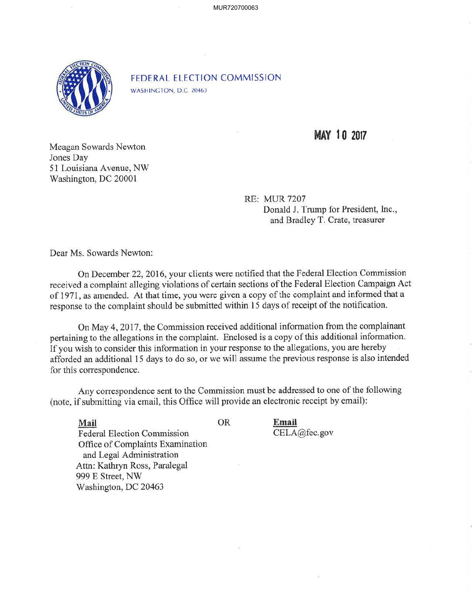MUR720700063



FEDERAL ELECTION COMMISSION WASHINGTON, D.C. 20463

## **MAY 10 2017**

Meagan Sowards Newton Jones Day 51 Louisiana Avenue, NW Washington, DC 20001

> RE: MUR 7207 Donald J. Trump for President, Inc., and Bradley T. Crate, treasurer

Dear Ms. Sowards Newton:

On December 22, 2016, your clients were notified that the Federal Election Commission received a complaint alleging violations of certain sections of the Federal Election Campaign Act of 1971, as amended. At that time, you were given a copy of the complaint and informed that a response to the complaint should be submitted within 15 days of receipt of the notification.

On May 4, 2017, the Commission received additional information from the complainant pertaining to the allegations in the complaint. Enclosed is a copy of this additional information. If you wish to consider this information in your response to the allegations, you are hereby afforded an additional 15 days to do so, or we will assume the previous response is also intended for this correspondence.

Any correspondence sent to the Commission must be addressed to one of the following (note, if submitting via email, this Office will provide an electronic receipt by email):

**Email** 

CELA@fec.gov

**Mail** OR Federal Election Commission Office of Complaints Examination and Legal Administration Attn: Kathryn Ross, Paralegal 999 E Street, NW Washington, DC 20463